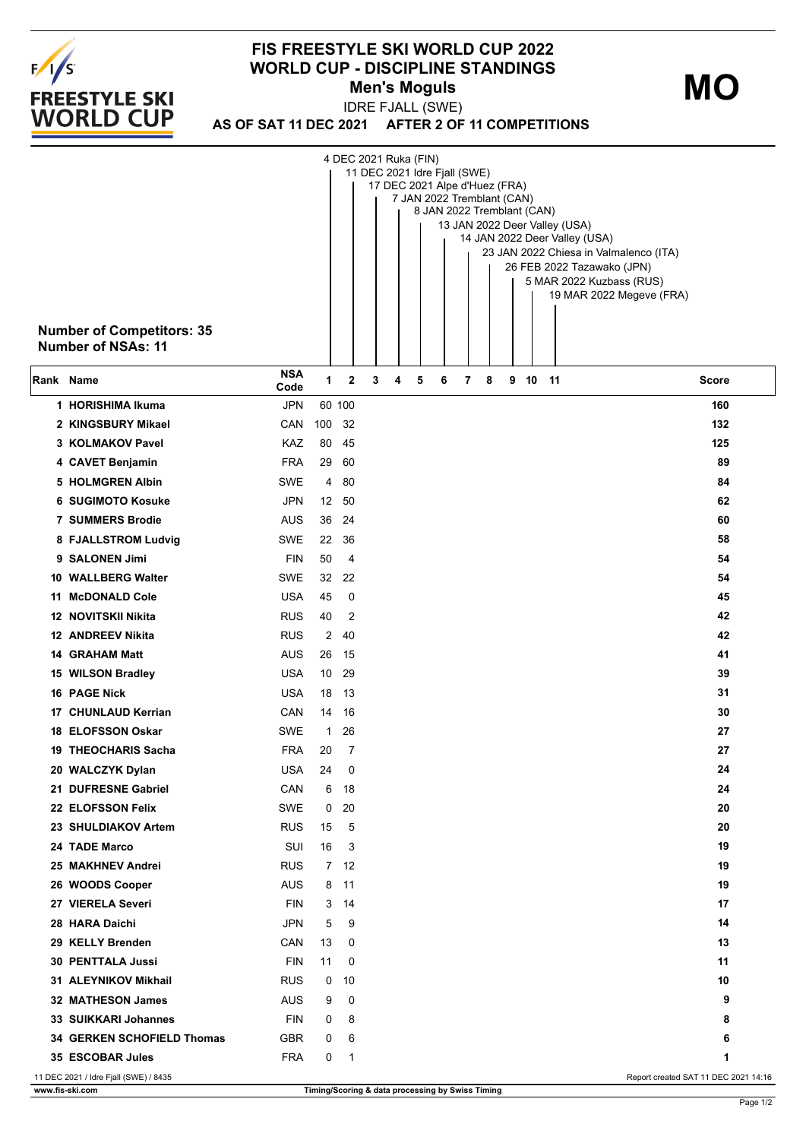

## **FIS FREESTYLE SKI WORLD CUP 2022 WORLD CUP - DISCIPLINE STANDINGS Men's Moguls MO**

**AS OF SAT 11 DEC 2021 AFTER 2 OF 11 COMPETITIONS** IDRE FJALL (SWE)

|                           |                                       |                                                                         |              |             | 4 DEC 2021 Ruka (FIN) |   |   |   |   |   |  |  |         |                            |                                      |
|---------------------------|---------------------------------------|-------------------------------------------------------------------------|--------------|-------------|-----------------------|---|---|---|---|---|--|--|---------|----------------------------|--------------------------------------|
|                           |                                       | 11 DEC 2021 Idre Fjall (SWE)<br>17 DEC 2021 Alpe d'Huez (FRA)           |              |             |                       |   |   |   |   |   |  |  |         |                            |                                      |
|                           |                                       | 7 JAN 2022 Tremblant (CAN)                                              |              |             |                       |   |   |   |   |   |  |  |         |                            |                                      |
|                           |                                       | 8 JAN 2022 Tremblant (CAN)                                              |              |             |                       |   |   |   |   |   |  |  |         |                            |                                      |
|                           |                                       | 13 JAN 2022 Deer Valley (USA)                                           |              |             |                       |   |   |   |   |   |  |  |         |                            |                                      |
|                           |                                       | 14 JAN 2022 Deer Valley (USA)<br>23 JAN 2022 Chiesa in Valmalenco (ITA) |              |             |                       |   |   |   |   |   |  |  |         |                            |                                      |
|                           |                                       |                                                                         |              |             |                       |   |   |   |   |   |  |  |         | 26 FEB 2022 Tazawako (JPN) |                                      |
|                           |                                       |                                                                         |              |             |                       |   |   |   |   |   |  |  |         | 5 MAR 2022 Kuzbass (RUS)   |                                      |
|                           |                                       |                                                                         |              |             |                       |   |   |   |   |   |  |  |         |                            | 19 MAR 2022 Megeve (FRA)             |
|                           |                                       |                                                                         |              |             |                       |   |   |   |   |   |  |  |         |                            |                                      |
|                           | <b>Number of Competitors: 35</b>      |                                                                         |              |             |                       |   |   |   |   |   |  |  |         |                            |                                      |
| <b>Number of NSAs: 11</b> |                                       |                                                                         |              |             |                       |   |   |   |   |   |  |  |         |                            |                                      |
|                           |                                       |                                                                         |              |             |                       |   |   |   |   |   |  |  |         |                            |                                      |
| ∣Rank Name                |                                       | <b>NSA</b><br>Code                                                      | $\mathbf{1}$ | $\mathbf 2$ | 3                     | 4 | 5 | 6 | 7 | 8 |  |  | 9 10 11 |                            | Score                                |
|                           | 1 HORISHIMA Ikuma                     | <b>JPN</b>                                                              |              | 60 100      |                       |   |   |   |   |   |  |  |         |                            | 160                                  |
|                           | 2 KINGSBURY Mikael                    | CAN                                                                     | 100          | 32          |                       |   |   |   |   |   |  |  |         |                            | 132                                  |
|                           |                                       |                                                                         |              |             |                       |   |   |   |   |   |  |  |         |                            | 125                                  |
|                           | 3 KOLMAKOV Pavel                      | KAZ                                                                     | 80           | 45          |                       |   |   |   |   |   |  |  |         |                            |                                      |
|                           | 4 CAVET Benjamin                      | <b>FRA</b>                                                              | 29           | 60          |                       |   |   |   |   |   |  |  |         |                            | 89                                   |
|                           | <b>5 HOLMGREN Albin</b>               | <b>SWE</b>                                                              | 4            | 80          |                       |   |   |   |   |   |  |  |         |                            | 84                                   |
|                           | <b>6 SUGIMOTO Kosuke</b>              | JPN                                                                     | 12           | 50          |                       |   |   |   |   |   |  |  |         |                            | 62                                   |
|                           | <b>7 SUMMERS Brodie</b>               | <b>AUS</b>                                                              | 36           | 24          |                       |   |   |   |   |   |  |  |         |                            | 60                                   |
|                           | 8 FJALLSTROM Ludvig                   | SWE                                                                     | 22           | 36          |                       |   |   |   |   |   |  |  |         |                            | 58                                   |
|                           | 9 SALONEN Jimi                        | <b>FIN</b>                                                              | 50           | 4           |                       |   |   |   |   |   |  |  |         |                            | 54                                   |
|                           | 10 WALLBERG Walter                    | SWE                                                                     | 32           | 22          |                       |   |   |   |   |   |  |  |         |                            | 54                                   |
|                           | 11 McDONALD Cole                      | <b>USA</b>                                                              | 45           | 0           |                       |   |   |   |   |   |  |  |         |                            | 45                                   |
|                           | 12 NOVITSKII Nikita                   | <b>RUS</b>                                                              | 40           | 2           |                       |   |   |   |   |   |  |  |         |                            | 42                                   |
|                           | <b>12 ANDREEV Nikita</b>              | <b>RUS</b>                                                              | 2            | 40          |                       |   |   |   |   |   |  |  |         |                            | 42                                   |
|                           | <b>14 GRAHAM Matt</b>                 | <b>AUS</b>                                                              | 26           | 15          |                       |   |   |   |   |   |  |  |         |                            | 41                                   |
|                           |                                       |                                                                         |              |             |                       |   |   |   |   |   |  |  |         |                            |                                      |
|                           | 15 WILSON Bradley                     | <b>USA</b>                                                              | 10           | 29          |                       |   |   |   |   |   |  |  |         |                            | 39                                   |
|                           | <b>16 PAGE Nick</b>                   | <b>USA</b>                                                              | 18           | -13         |                       |   |   |   |   |   |  |  |         |                            | 31                                   |
|                           | 17 CHUNLAUD Kerrian                   | CAN                                                                     | 14           | 16          |                       |   |   |   |   |   |  |  |         |                            | 30                                   |
|                           | 18 ELOFSSON Oskar                     | SWE                                                                     | 1            | 26          |                       |   |   |   |   |   |  |  |         |                            | 27                                   |
|                           | <b>19 THEOCHARIS Sacha</b>            | <b>FRA</b>                                                              | 20           | 7           |                       |   |   |   |   |   |  |  |         |                            | 27                                   |
|                           | 20 WALCZYK Dylan                      | <b>USA</b>                                                              | 24           | 0           |                       |   |   |   |   |   |  |  |         |                            | 24                                   |
|                           | 21 DUFRESNE Gabriel                   | CAN                                                                     | 6            | 18          |                       |   |   |   |   |   |  |  |         |                            | 24                                   |
|                           | 22 ELOFSSON Felix                     | <b>SWE</b>                                                              | 0            | 20          |                       |   |   |   |   |   |  |  |         |                            | 20                                   |
|                           | 23 SHULDIAKOV Artem                   | <b>RUS</b>                                                              | 15           | 5           |                       |   |   |   |   |   |  |  |         |                            | 20                                   |
|                           | 24 TADE Marco                         | SUI                                                                     | 16           | 3           |                       |   |   |   |   |   |  |  |         |                            | 19                                   |
|                           | 25 MAKHNEV Andrei                     | <b>RUS</b>                                                              | 7            | 12          |                       |   |   |   |   |   |  |  |         |                            | 19                                   |
|                           | 26 WOODS Cooper                       | AUS                                                                     | 8            | 11          |                       |   |   |   |   |   |  |  |         |                            | 19                                   |
|                           | 27 VIERELA Severi                     | <b>FIN</b>                                                              | 3            | 14          |                       |   |   |   |   |   |  |  |         |                            | 17                                   |
|                           |                                       |                                                                         |              |             |                       |   |   |   |   |   |  |  |         |                            |                                      |
|                           | 28 HARA Daichi                        | <b>JPN</b>                                                              | 5            | 9           |                       |   |   |   |   |   |  |  |         |                            | 14                                   |
|                           | 29 KELLY Brenden                      | CAN                                                                     | 13           | 0           |                       |   |   |   |   |   |  |  |         |                            | 13                                   |
|                           | <b>30 PENTTALA Jussi</b>              | <b>FIN</b>                                                              | 11           | 0           |                       |   |   |   |   |   |  |  |         |                            | 11                                   |
|                           | 31 ALEYNIKOV Mikhail                  | <b>RUS</b>                                                              | 0            | 10          |                       |   |   |   |   |   |  |  |         |                            | 10                                   |
|                           | 32 MATHESON James                     | AUS                                                                     | 9            | 0           |                       |   |   |   |   |   |  |  |         |                            | 9                                    |
|                           | <b>33 SUIKKARI Johannes</b>           | <b>FIN</b>                                                              | 0            | 8           |                       |   |   |   |   |   |  |  |         |                            | 8                                    |
|                           | 34 GERKEN SCHOFIELD Thomas            | <b>GBR</b>                                                              | 0            | 6           |                       |   |   |   |   |   |  |  |         |                            | 6                                    |
|                           | 35 ESCOBAR Jules                      | <b>FRA</b>                                                              | 0            | 1           |                       |   |   |   |   |   |  |  |         |                            | 1                                    |
|                           | 11 DEC 2021 / Idre Fjall (SWE) / 8435 |                                                                         |              |             |                       |   |   |   |   |   |  |  |         |                            | Report created SAT 11 DEC 2021 14:16 |